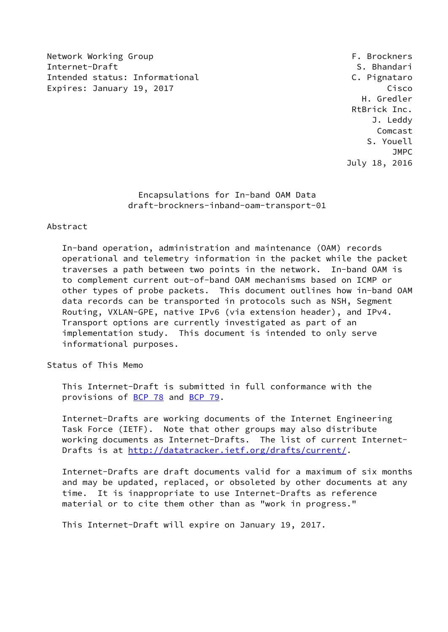Network Working Group **F. Brockners** Internet-Draft S. Bhandari S. Bhandari S. Bhandari S. Bhandari S. Bhandari S. Bhandari S. S. Bhandari S. S. Bhandari Intended status: Informational C. Pignataro Expires: January 19, 2017 **Cisco** 

 H. Gredler RtBrick Inc. J. Leddy Comcast S. Youell **JMPC** Service of the state of the state of the state of the state of the state of the state of the state of the state of the state of the state of the state of the state of the state of the state of the state of the state July 18, 2016

## Encapsulations for In-band OAM Data draft-brockners-inband-oam-transport-01

### Abstract

 In-band operation, administration and maintenance (OAM) records operational and telemetry information in the packet while the packet traverses a path between two points in the network. In-band OAM is to complement current out-of-band OAM mechanisms based on ICMP or other types of probe packets. This document outlines how in-band OAM data records can be transported in protocols such as NSH, Segment Routing, VXLAN-GPE, native IPv6 (via extension header), and IPv4. Transport options are currently investigated as part of an implementation study. This document is intended to only serve informational purposes.

Status of This Memo

 This Internet-Draft is submitted in full conformance with the provisions of [BCP 78](https://datatracker.ietf.org/doc/pdf/bcp78) and [BCP 79](https://datatracker.ietf.org/doc/pdf/bcp79).

 Internet-Drafts are working documents of the Internet Engineering Task Force (IETF). Note that other groups may also distribute working documents as Internet-Drafts. The list of current Internet- Drafts is at<http://datatracker.ietf.org/drafts/current/>.

 Internet-Drafts are draft documents valid for a maximum of six months and may be updated, replaced, or obsoleted by other documents at any time. It is inappropriate to use Internet-Drafts as reference material or to cite them other than as "work in progress."

This Internet-Draft will expire on January 19, 2017.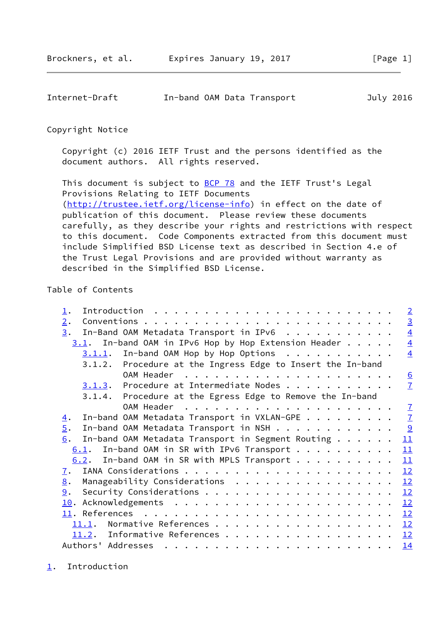<span id="page-1-1"></span>

| Internet-Draft |  | In-band OAM Data Transport | July 2016 |
|----------------|--|----------------------------|-----------|
|                |  |                            |           |

#### Copyright Notice

 Copyright (c) 2016 IETF Trust and the persons identified as the document authors. All rights reserved.

This document is subject to **[BCP 78](https://datatracker.ietf.org/doc/pdf/bcp78)** and the IETF Trust's Legal Provisions Relating to IETF Documents [\(http://trustee.ietf.org/license-info](http://trustee.ietf.org/license-info)) in effect on the date of publication of this document. Please review these documents carefully, as they describe your rights and restrictions with respect to this document. Code Components extracted from this document must include Simplified BSD License text as described in Section 4.e of the Trust Legal Provisions and are provided without warranty as described in the Simplified BSD License.

## Table of Contents

<span id="page-1-0"></span>

| $\perp$ .                                                       |  | $\sqrt{2}$     |
|-----------------------------------------------------------------|--|----------------|
| 2.                                                              |  | $\overline{3}$ |
| In-Band OAM Metadata Transport in IPv6<br>3.                    |  | $\overline{4}$ |
| $3.1$ . In-band OAM in IPv6 Hop by Hop Extension Header         |  | $\overline{4}$ |
| In-band OAM Hop by Hop Options<br>3.1.1.                        |  | $\overline{4}$ |
| 3.1.2. Procedure at the Ingress Edge to Insert the In-band      |  |                |
|                                                                 |  | 6              |
| 3.1.3. Procedure at Intermediate Nodes                          |  | $\overline{1}$ |
| 3.1.4. Procedure at the Egress Edge to Remove the In-band       |  |                |
|                                                                 |  | $\overline{1}$ |
| In-band OAM Metadata Transport in VXLAN-GPE<br>$\overline{4}$ . |  | $\overline{1}$ |
| In-band OAM Metadata Transport in NSH<br>$\overline{5}$ .       |  |                |
| In-band OAM Metadata Transport in Segment Routing<br>6.         |  | 11             |
| $6.1$ . In-band OAM in SR with IPv6 Transport                   |  | 11             |
| $6.2$ . In-band OAM in SR with MPLS Transport                   |  | 11             |
| $\overline{1}$ .                                                |  | 12             |
| Manageability Considerations<br>8.                              |  | 12             |
| 9.                                                              |  | 12             |
|                                                                 |  | 12             |
|                                                                 |  | 12             |
| 11.1.                                                           |  | 12             |
| 11.2. Informative References                                    |  | 12             |
| Authors' Addresses                                              |  | <u> 14</u>     |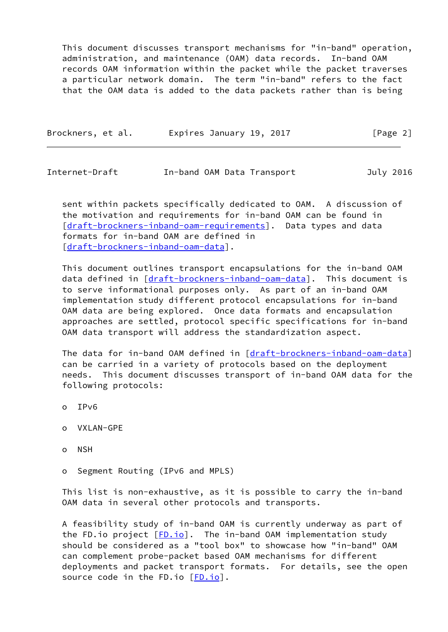This document discusses transport mechanisms for "in-band" operation, administration, and maintenance (OAM) data records. In-band OAM records OAM information within the packet while the packet traverses a particular network domain. The term "in-band" refers to the fact that the OAM data is added to the data packets rather than is being

| Brockners, et al. | Expires January 19, 2017 | [Page 2] |
|-------------------|--------------------------|----------|
|                   |                          |          |

<span id="page-2-0"></span>Internet-Draft In-band OAM Data Transport July 2016

 sent within packets specifically dedicated to OAM. A discussion of the motivation and requirements for in-band OAM can be found in [\[draft-brockners-inband-oam-requirements](https://datatracker.ietf.org/doc/pdf/draft-brockners-inband-oam-requirements)]. Data types and data formats for in-band OAM are defined in [\[draft-brockners-inband-oam-data](https://datatracker.ietf.org/doc/pdf/draft-brockners-inband-oam-data)].

 This document outlines transport encapsulations for the in-band OAM data defined in [\[draft-brockners-inband-oam-data](https://datatracker.ietf.org/doc/pdf/draft-brockners-inband-oam-data)]. This document is to serve informational purposes only. As part of an in-band OAM implementation study different protocol encapsulations for in-band OAM data are being explored. Once data formats and encapsulation approaches are settled, protocol specific specifications for in-band OAM data transport will address the standardization aspect.

 The data for in-band OAM defined in [\[draft-brockners-inband-oam-data](https://datatracker.ietf.org/doc/pdf/draft-brockners-inband-oam-data)] can be carried in a variety of protocols based on the deployment needs. This document discusses transport of in-band OAM data for the following protocols:

- o IPv6
- o VXLAN-GPE
- o NSH
- o Segment Routing (IPv6 and MPLS)

 This list is non-exhaustive, as it is possible to carry the in-band OAM data in several other protocols and transports.

 A feasibility study of in-band OAM is currently underway as part of the FD.io project  $[FD.io]$  $[FD.io]$ . The in-band OAM implementation study should be considered as a "tool box" to showcase how "in-band" OAM can complement probe-packet based OAM mechanisms for different deployments and packet transport formats. For details, see the open source code in the FD.io  $[FD.io]$ .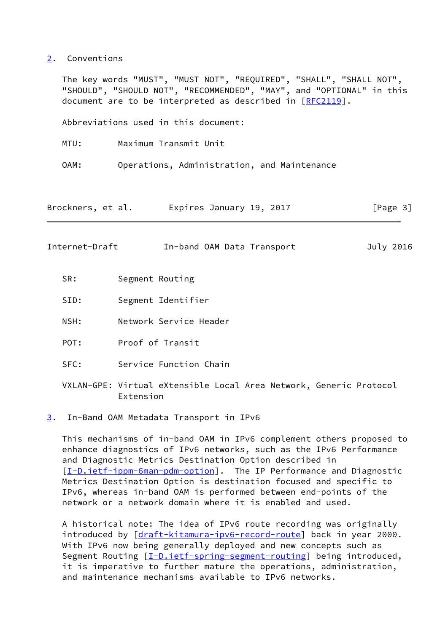#### <span id="page-3-0"></span>[2](#page-3-0). Conventions

 The key words "MUST", "MUST NOT", "REQUIRED", "SHALL", "SHALL NOT", "SHOULD", "SHOULD NOT", "RECOMMENDED", "MAY", and "OPTIONAL" in this document are to be interpreted as described in [\[RFC2119](https://datatracker.ietf.org/doc/pdf/rfc2119)].

Abbreviations used in this document:

MTU: Maximum Transmit Unit

OAM: Operations, Administration, and Maintenance

Brockners, et al. Expires January 19, 2017 [Page 3]

<span id="page-3-2"></span>Internet-Draft In-band OAM Data Transport July 2016

- SR: Segment Routing
- SID: Segment Identifier
- NSH: Network Service Header
- POT: Proof of Transit
- SFC: Service Function Chain
- VXLAN-GPE: Virtual eXtensible Local Area Network, Generic Protocol Extension
- <span id="page-3-1"></span>[3](#page-3-1). In-Band OAM Metadata Transport in IPv6

 This mechanisms of in-band OAM in IPv6 complement others proposed to enhance diagnostics of IPv6 networks, such as the IPv6 Performance and Diagnostic Metrics Destination Option described in [\[I-D.ietf-ippm-6man-pdm-option](#page-13-4)]. The IP Performance and Diagnostic Metrics Destination Option is destination focused and specific to IPv6, whereas in-band OAM is performed between end-points of the network or a network domain where it is enabled and used.

 A historical note: The idea of IPv6 route recording was originally introduced by [[draft-kitamura-ipv6-record-route\]](https://datatracker.ietf.org/doc/pdf/draft-kitamura-ipv6-record-route) back in year 2000. With IPv6 now being generally deployed and new concepts such as Segment Routing [\[I-D.ietf-spring-segment-routing](#page-14-1)] being introduced, it is imperative to further mature the operations, administration, and maintenance mechanisms available to IPv6 networks.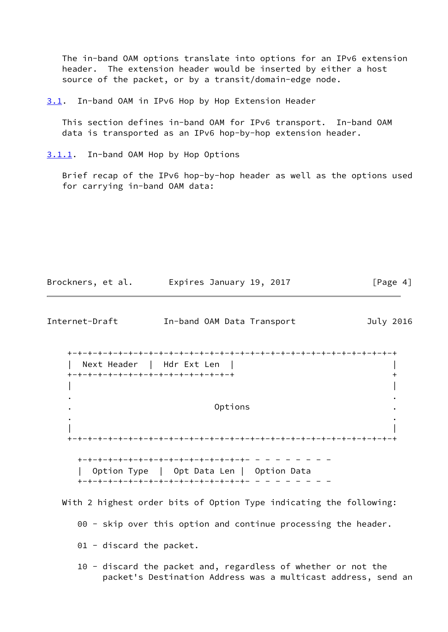The in-band OAM options translate into options for an IPv6 extension header. The extension header would be inserted by either a host source of the packet, or by a transit/domain-edge node.

<span id="page-4-0"></span>[3.1](#page-4-0). In-band OAM in IPv6 Hop by Hop Extension Header

 This section defines in-band OAM for IPv6 transport. In-band OAM data is transported as an IPv6 hop-by-hop extension header.

<span id="page-4-1"></span>[3.1.1](#page-4-1). In-band OAM Hop by Hop Options

 Brief recap of the IPv6 hop-by-hop header as well as the options used for carrying in-band OAM data:

| Brockners, et al.      Expires January 19, 2017                                                                                | [Page $4$ ] |
|--------------------------------------------------------------------------------------------------------------------------------|-------------|
| In-band OAM Data Transport                                                                                                     | July 2016   |
| Next Header   Hdr Ext Len<br>+-+-+-+-+-+-+-+-+-+-+-+-+-+-+-+-+-                                                                | $\,{}^+$    |
| Options                                                                                                                        |             |
| Option Type   Opt Data Len   Option Data<br>+-+-+-+-+-+-+-+-+-+-+-+-+-+-+-+-+-+- -                                             |             |
| With 2 highest order bits of Option Type indicating the following:                                                             |             |
| 00 - skip over this option and continue processing the header.                                                                 |             |
| $01$ - discard the packet.                                                                                                     |             |
| 10 - discard the packet and, regardless of whether or not the<br>packet's Destination Address was a multicast address, send an |             |
|                                                                                                                                |             |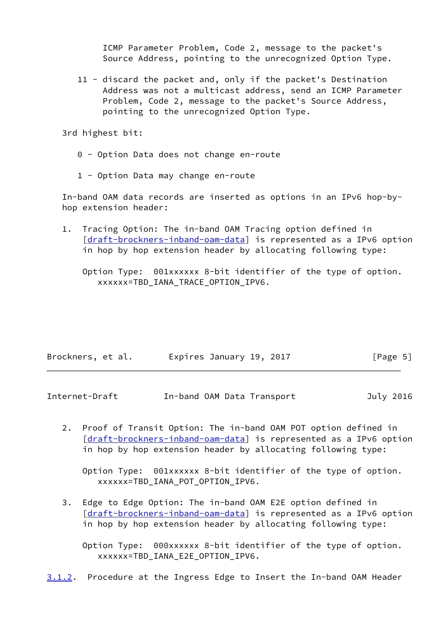ICMP Parameter Problem, Code 2, message to the packet's Source Address, pointing to the unrecognized Option Type.

 11 - discard the packet and, only if the packet's Destination Address was not a multicast address, send an ICMP Parameter Problem, Code 2, message to the packet's Source Address, pointing to the unrecognized Option Type.

3rd highest bit:

- 0 Option Data does not change en-route
- 1 Option Data may change en-route

 In-band OAM data records are inserted as options in an IPv6 hop-by hop extension header:

 1. Tracing Option: The in-band OAM Tracing option defined in [\[draft-brockners-inband-oam-data](https://datatracker.ietf.org/doc/pdf/draft-brockners-inband-oam-data)] is represented as a IPv6 option in hop by hop extension header by allocating following type:

 Option Type: 001xxxxxx 8-bit identifier of the type of option. xxxxxx=TBD\_IANA\_TRACE\_OPTION\_IPV6.

| Brockners, et al. | Expires January 19, 2017 |  | [Page 5] |
|-------------------|--------------------------|--|----------|
|-------------------|--------------------------|--|----------|

<span id="page-5-0"></span>Internet-Draft In-band OAM Data Transport July 2016

 2. Proof of Transit Option: The in-band OAM POT option defined in [\[draft-brockners-inband-oam-data](https://datatracker.ietf.org/doc/pdf/draft-brockners-inband-oam-data)] is represented as a IPv6 option in hop by hop extension header by allocating following type:

 Option Type: 001xxxxxx 8-bit identifier of the type of option. xxxxxx=TBD\_IANA\_POT\_OPTION\_IPV6.

 3. Edge to Edge Option: The in-band OAM E2E option defined in [\[draft-brockners-inband-oam-data](https://datatracker.ietf.org/doc/pdf/draft-brockners-inband-oam-data)] is represented as a IPv6 option in hop by hop extension header by allocating following type:

 Option Type: 000xxxxxx 8-bit identifier of the type of option. xxxxxx=TBD\_IANA\_E2E\_OPTION\_IPV6.

<span id="page-5-1"></span>[3.1.2](#page-5-1). Procedure at the Ingress Edge to Insert the In-band OAM Header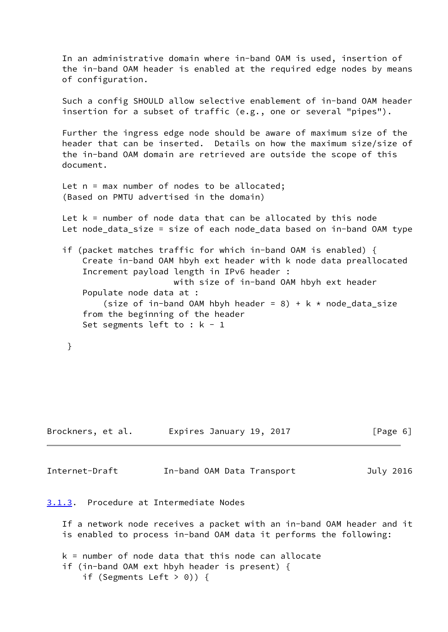In an administrative domain where in-band OAM is used, insertion of the in-band OAM header is enabled at the required edge nodes by means of configuration.

 Such a config SHOULD allow selective enablement of in-band OAM header insertion for a subset of traffic (e.g., one or several "pipes").

 Further the ingress edge node should be aware of maximum size of the header that can be inserted. Details on how the maximum size/size of the in-band OAM domain are retrieved are outside the scope of this document.

```
Let n = max number of nodes to be allocated;
 (Based on PMTU advertised in the domain)
```
Let  $k =$  number of node data that can be allocated by this node Let node\_data\_size = size of each node\_data based on in-band OAM type

 if (packet matches traffic for which in-band OAM is enabled) { Create in-band OAM hbyh ext header with k node data preallocated Increment payload length in IPv6 header : with size of in-band OAM hbyh ext header Populate node data at : (size of in-band OAM hbyh header = 8) + k  $*$  node\_data\_size from the beginning of the header

```
Set segments left to : k - 1
```

```
 }
```

| Brockners, et al. | Expires January 19, 2017 | [Page 6] |
|-------------------|--------------------------|----------|
|                   |                          |          |

<span id="page-6-1"></span>Internet-Draft In-band OAM Data Transport July 2016

<span id="page-6-0"></span>[3.1.3](#page-6-0). Procedure at Intermediate Nodes

 If a network node receives a packet with an in-band OAM header and it is enabled to process in-band OAM data it performs the following:

```
 k = number of node data that this node can allocate
 if (in-band OAM ext hbyh header is present) {
    if (Segments Left > 0)) {
```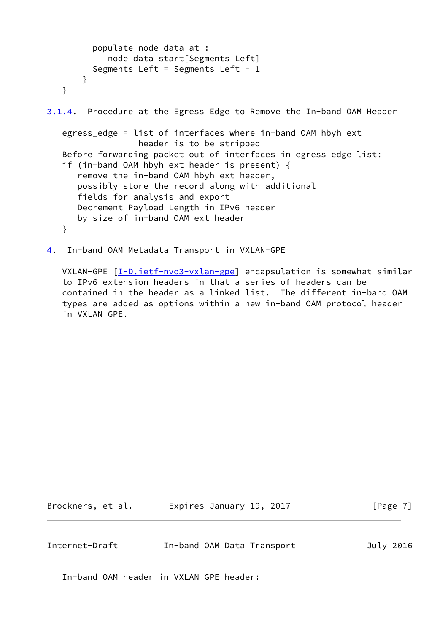```
 populate node data at :
             node_data_start[Segments Left]
         Segments Left = Segments Left - 1 }
    }
3.1.4. Procedure at the Egress Edge to Remove the In-band OAM Header
    egress_edge = list of interfaces where in-band OAM hbyh ext
                   header is to be stripped
    Before forwarding packet out of interfaces in egress_edge list:
    if (in-band OAM hbyh ext header is present) {
       remove the in-band OAM hbyh ext header,
       possibly store the record along with additional
       fields for analysis and export
       Decrement Payload Length in IPv6 header
       by size of in-band OAM ext header
    }
```
<span id="page-7-0"></span>[4](#page-7-0). In-band OAM Metadata Transport in VXLAN-GPE

VXLAN-GPE  $[I-D.iett-nvo3-vxlan-gpe]$  encapsulation is somewhat similar to IPv6 extension headers in that a series of headers can be contained in the header as a linked list. The different in-band OAM types are added as options within a new in-band OAM protocol header in VXLAN GPE.

Brockners, et al. Expires January 19, 2017 [Page 7]

Internet-Draft In-band OAM Data Transport July 2016

In-band OAM header in VXLAN GPE header: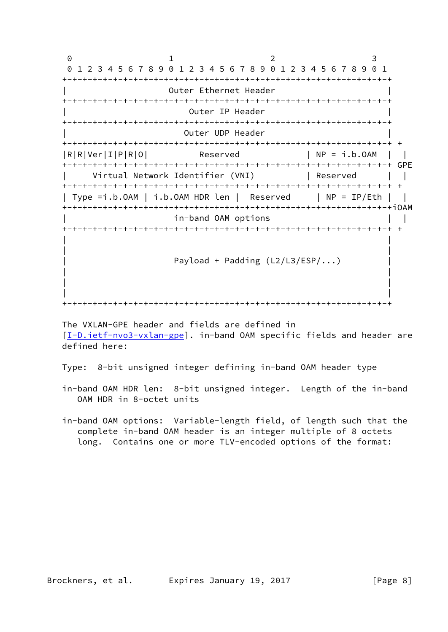0 1 2 3 0 1 2 3 4 5 6 7 8 9 0 1 2 3 4 5 6 7 8 9 0 1 2 3 4 5 6 7 8 9 0 1 +-+-+-+-+-+-+-+-+-+-+-+-+-+-+-+-+-+-+-+-+-+-+-+-+-+-+-+-+-+-+-+-+ Outer Ethernet Header +-+-+-+-+-+-+-+-+-+-+-+-+-+-+-+-+-+-+-+-+-+-+-+-+-+-+-+-+-+-+-+-+ Outer IP Header +-+-+-+-+-+-+-+-+-+-+-+-+-+-+-+-+-+-+-+-+-+-+-+-+-+-+-+-+-+-+-+-+ Outer UDP Header +-+-+-+-+-+-+-+-+-+-+-+-+-+-+-+-+-+-+-+-+-+-+-+-+-+-+-+-+-+-+-+-+ +  $|R|R|Ver|I|P|R|0|$  Reserved  $|NP = i.b.0AM |$  +-+-+-+-+-+-+-+-+-+-+-+-+-+-+-+-+-+-+-+-+-+-+-+-+-+-+-+-+-+-+-+-+ GPE Virtual Network Identifier (VNI) | Reserved | | +-+-+-+-+-+-+-+-+-+-+-+-+-+-+-+-+-+-+-+-+-+-+-+-+-+-+-+-+-+-+-+-+ + | Type =i.b.OAM | i.b.OAM HDR len | Reserved | NP = IP/Eth | | +-+-+-+-+-+-+-+-+-+-+-+-+-+-+-+-+-+-+-+-+-+-+-+-+-+-+-+-+-+-+-+-+iOAM in-band OAM options +-+-+-+-+-+-+-+-+-+-+-+-+-+-+-+-+-+-+-+-+-+-+-+-+-+-+-+-+-+-+-+-+ + | | | | Payload + Padding  $(L2/L3/ESP/\dots)$  | | | | | | +-+-+-+-+-+-+-+-+-+-+-+-+-+-+-+-+-+-+-+-+-+-+-+-+-+-+-+-+-+-+-+-+

 The VXLAN-GPE header and fields are defined in [\[I-D.ietf-nvo3-vxlan-gpe](#page-14-2)]. in-band OAM specific fields and header are defined here:

Type: 8-bit unsigned integer defining in-band OAM header type

- in-band OAM HDR len: 8-bit unsigned integer. Length of the in-band OAM HDR in 8-octet units
- in-band OAM options: Variable-length field, of length such that the complete in-band OAM header is an integer multiple of 8 octets long. Contains one or more TLV-encoded options of the format: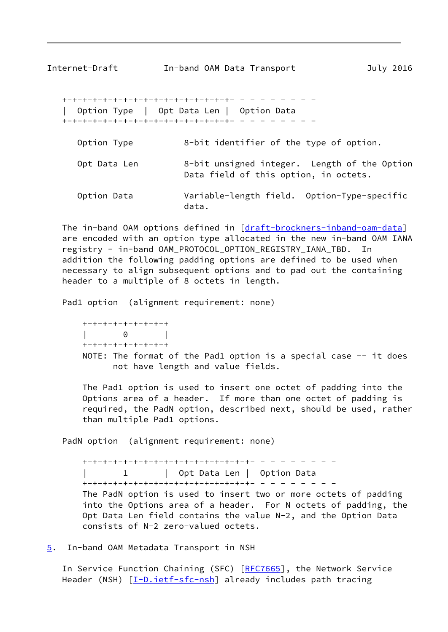<span id="page-9-1"></span> +-+-+-+-+-+-+-+-+-+-+-+-+-+-+-+-+- - - - - - - - - | Option Type | Opt Data Len | Option Data +-+-+-+-+-+-+-+-+-+-+-+-+-+-+-+-+- - - - - - - - -

- Option Type 8-bit identifier of the type of option.
- Opt Data Len 8-bit unsigned integer. Length of the Option Data field of this option, in octets.
- Option Data Variable-length field. Option-Type-specific data.

The in-band OAM options defined in [[draft-brockners-inband-oam-data\]](https://datatracker.ietf.org/doc/pdf/draft-brockners-inband-oam-data) are encoded with an option type allocated in the new in-band OAM IANA registry - in-band OAM\_PROTOCOL\_OPTION\_REGISTRY\_IANA\_TBD. In addition the following padding options are defined to be used when necessary to align subsequent options and to pad out the containing header to a multiple of 8 octets in length.

Pad1 option (alignment requirement: none)

 +-+-+-+-+-+-+-+-+ | 0 | +-+-+-+-+-+-+-+-+

NOTE: The format of the Pad1 option is a special case -- it does not have length and value fields.

 The Pad1 option is used to insert one octet of padding into the Options area of a header. If more than one octet of padding is required, the PadN option, described next, should be used, rather than multiple Pad1 options.

PadN option (alignment requirement: none)

 +-+-+-+-+-+-+-+-+-+-+-+-+-+-+-+-+- - - - - - - - - | 1 | Opt Data Len | Option Data +-+-+-+-+-+-+-+-+-+-+-+-+-+-+-+-+- - - - - - - - - The PadN option is used to insert two or more octets of padding into the Options area of a header. For N octets of padding, the Opt Data Len field contains the value N-2, and the Option Data consists of N-2 zero-valued octets.

<span id="page-9-0"></span>[5](#page-9-0). In-band OAM Metadata Transport in NSH

In Service Function Chaining (SFC) [[RFC7665\]](https://datatracker.ietf.org/doc/pdf/rfc7665), the Network Service Header (NSH) [\[I-D.ietf-sfc-nsh](#page-14-3)] already includes path tracing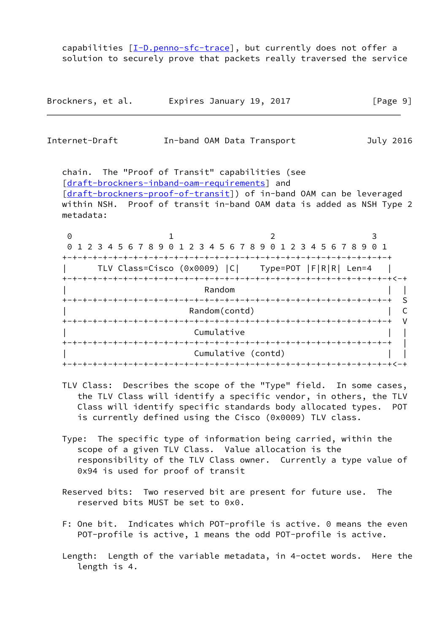capabilities [\[I-D.penno-sfc-trace](#page-14-4)], but currently does not offer a solution to securely prove that packets really traversed the service

| Brockners, et al. | Expires January 19, 2017 | [Page 9] |
|-------------------|--------------------------|----------|
|-------------------|--------------------------|----------|

| Internet-Draft |  | In-band OAM Data Transport | July 2016 |
|----------------|--|----------------------------|-----------|
|                |  |                            |           |

 chain. The "Proof of Transit" capabilities (see [\[draft-brockners-inband-oam-requirements](https://datatracker.ietf.org/doc/pdf/draft-brockners-inband-oam-requirements)] and [\[draft-brockners-proof-of-transit](https://datatracker.ietf.org/doc/pdf/draft-brockners-proof-of-transit)]) of in-band OAM can be leveraged within NSH. Proof of transit in-band OAM data is added as NSH Type 2 metadata:

0 1 2 3 0 1 2 3 4 5 6 7 8 9 0 1 2 3 4 5 6 7 8 9 0 1 2 3 4 5 6 7 8 9 0 1 +-+-+-+-+-+-+-+-+-+-+-+-+-+-+-+-+-+-+-+-+-+-+-+-+-+-+-+-+-+-+-+-+ | TLV Class=Cisco (0x0009) |C| Type=POT |F|R|R| Len=4 | +-+-+-+-+-+-+-+-+-+-+-+-+-+-+-+-+-+-+-+-+-+-+-+-+-+-+-+-+-+-+-+-+<-+ | Random | | +-+-+-+-+-+-+-+-+-+-+-+-+-+-+-+-+-+-+-+-+-+-+-+-+-+-+-+-+-+-+-+-+ S Random(contd) Random(contd) +-+-+-+-+-+-+-+-+-+-+-+-+-+-+-+-+-+-+-+-+-+-+-+-+-+-+-+-+-+-+-+-+ V Cumulative +-+-+-+-+-+-+-+-+-+-+-+-+-+-+-+-+-+-+-+-+-+-+-+-+-+-+-+-+-+-+-+-+ | Cumulative (contd) +-+-+-+-+-+-+-+-+-+-+-+-+-+-+-+-+-+-+-+-+-+-+-+-+-+-+-+-+-+-+-+-+<-+

- TLV Class: Describes the scope of the "Type" field. In some cases, the TLV Class will identify a specific vendor, in others, the TLV Class will identify specific standards body allocated types. POT is currently defined using the Cisco (0x0009) TLV class.
- Type: The specific type of information being carried, within the scope of a given TLV Class. Value allocation is the responsibility of the TLV Class owner. Currently a type value of 0x94 is used for proof of transit
- Reserved bits: Two reserved bit are present for future use. The reserved bits MUST be set to 0x0.
- F: One bit. Indicates which POT-profile is active. 0 means the even POT-profile is active, 1 means the odd POT-profile is active.
- Length: Length of the variable metadata, in 4-octet words. Here the length is 4.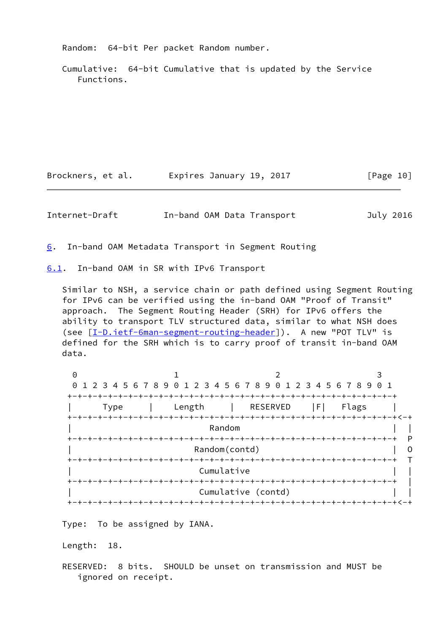Random: 64-bit Per packet Random number.

 Cumulative: 64-bit Cumulative that is updated by the Service Functions.

Brockners, et al. Expires January 19, 2017 [Page 10]

<span id="page-11-1"></span>Internet-Draft In-band OAM Data Transport July 2016

<span id="page-11-0"></span>[6](#page-11-0). In-band OAM Metadata Transport in Segment Routing

<span id="page-11-2"></span>[6.1](#page-11-2). In-band OAM in SR with IPv6 Transport

 Similar to NSH, a service chain or path defined using Segment Routing for IPv6 can be verified using the in-band OAM "Proof of Transit" approach. The Segment Routing Header (SRH) for IPv6 offers the ability to transport TLV structured data, similar to what NSH does (see [\[I-D.ietf-6man-segment-routing-header](#page-13-5)]). A new "POT TLV" is defined for the SRH which is to carry proof of transit in-band OAM data.

0 1 2 3 0 1 2 3 4 5 6 7 8 9 0 1 2 3 4 5 6 7 8 9 0 1 2 3 4 5 6 7 8 9 0 1 +-+-+-+-+-+-+-+-+-+-+-+-+-+-+-+-+-+-+-+-+-+-+-+-+-+-+-+-+-+-+-+-+ | Type | Length | RESERVED |F| Flags | +-+-+-+-+-+-+-+-+-+-+-+-+-+-+-+-+-+-+-+-+-+-+-+-+-+-+-+-+-+-+-+-+<-+ | Random | | +-+-+-+-+-+-+-+-+-+-+-+-+-+-+-+-+-+-+-+-+-+-+-+-+-+-+-+-+-+-+-+-+ P Random(contd) | O +-+-+-+-+-+-+-+-+-+-+-+-+-+-+-+-+-+-+-+-+-+-+-+-+-+-+-+-+-+-+-+-+ T Cumulative +-+-+-+-+-+-+-+-+-+-+-+-+-+-+-+-+-+-+-+-+-+-+-+-+-+-+-+-+-+-+-+-+ | Cumulative (contd) +-+-+-+-+-+-+-+-+-+-+-+-+-+-+-+-+-+-+-+-+-+-+-+-+-+-+-+-+-+-+-+-+<-+

Type: To be assigned by IANA.

Length: 18.

 RESERVED: 8 bits. SHOULD be unset on transmission and MUST be ignored on receipt.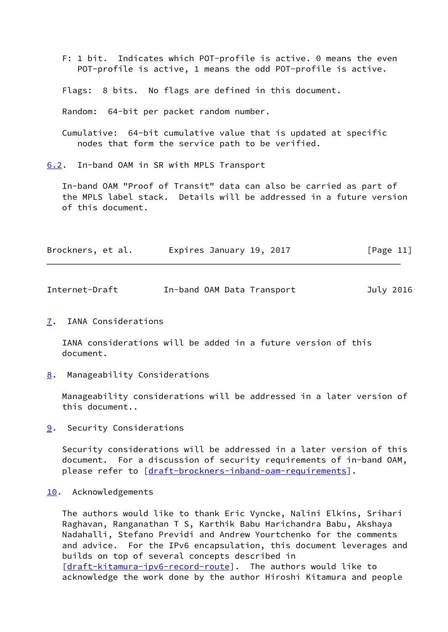- F: 1 bit. Indicates which POT-profile is active. 0 means the even POT-profile is active, 1 means the odd POT-profile is active.
- Flags: 8 bits. No flags are defined in this document.

Random: 64-bit per packet random number.

 Cumulative: 64-bit cumulative value that is updated at specific nodes that form the service path to be verified.

<span id="page-12-0"></span>[6.2](#page-12-0). In-band OAM in SR with MPLS Transport

 In-band OAM "Proof of Transit" data can also be carried as part of the MPLS label stack. Details will be addressed in a future version of this document.

| Brockners, et al. | [Page 11]<br>Expires January 19, 2017 |
|-------------------|---------------------------------------|
|-------------------|---------------------------------------|

<span id="page-12-2"></span>

| Internet-Draft |  | In-band OAM Data Transport | July 2016 |  |
|----------------|--|----------------------------|-----------|--|
|                |  |                            |           |  |

<span id="page-12-1"></span>[7](#page-12-1). IANA Considerations

 IANA considerations will be added in a future version of this document.

<span id="page-12-3"></span>[8](#page-12-3). Manageability Considerations

 Manageability considerations will be addressed in a later version of this document..

<span id="page-12-4"></span>[9](#page-12-4). Security Considerations

 Security considerations will be addressed in a later version of this document. For a discussion of security requirements of in-band OAM, please refer to [\[draft-brockners-inband-oam-requirements](https://datatracker.ietf.org/doc/pdf/draft-brockners-inband-oam-requirements)].

<span id="page-12-5"></span>[10.](#page-12-5) Acknowledgements

 The authors would like to thank Eric Vyncke, Nalini Elkins, Srihari Raghavan, Ranganathan T S, Karthik Babu Harichandra Babu, Akshaya Nadahalli, Stefano Previdi and Andrew Yourtchenko for the comments and advice. For the IPv6 encapsulation, this document leverages and builds on top of several concepts described in [\[draft-kitamura-ipv6-record-route](https://datatracker.ietf.org/doc/pdf/draft-kitamura-ipv6-record-route)]. The authors would like to acknowledge the work done by the author Hiroshi Kitamura and people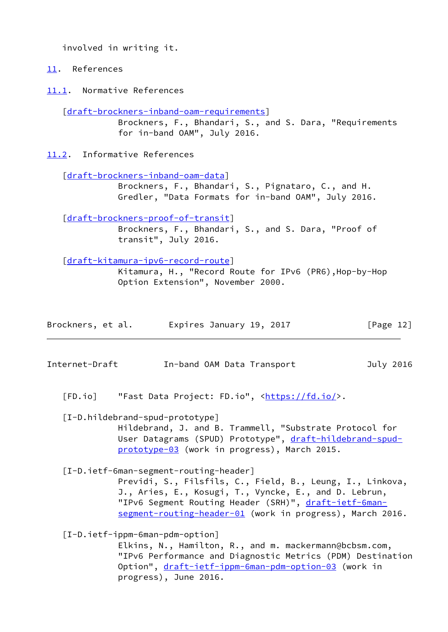involved in writing it.

<span id="page-13-0"></span>[11.](#page-13-0) References

<span id="page-13-1"></span>[11.1](#page-13-1). Normative References

[\[draft-brockners-inband-oam-requirements](https://datatracker.ietf.org/doc/pdf/draft-brockners-inband-oam-requirements)]

 Brockners, F., Bhandari, S., and S. Dara, "Requirements for in-band OAM", July 2016.

<span id="page-13-2"></span>[11.2](#page-13-2). Informative References

[\[draft-brockners-inband-oam-data](https://datatracker.ietf.org/doc/pdf/draft-brockners-inband-oam-data)]

 Brockners, F., Bhandari, S., Pignataro, C., and H. Gredler, "Data Formats for in-band OAM", July 2016.

[\[draft-brockners-proof-of-transit](https://datatracker.ietf.org/doc/pdf/draft-brockners-proof-of-transit)]

 Brockners, F., Bhandari, S., and S. Dara, "Proof of transit", July 2016.

[\[draft-kitamura-ipv6-record-route](https://datatracker.ietf.org/doc/pdf/draft-kitamura-ipv6-record-route)]

 Kitamura, H., "Record Route for IPv6 (PR6),Hop-by-Hop Option Extension", November 2000.

| Brockners, et al. | Expires January 19, 2017 | [Page 12] |
|-------------------|--------------------------|-----------|
|-------------------|--------------------------|-----------|

Internet-Draft In-band OAM Data Transport July 2016

<span id="page-13-3"></span>[FD.io] "Fast Data Project: FD.io", [<https://fd.io/](https://fd.io/)>.

 [I-D.hildebrand-spud-prototype] Hildebrand, J. and B. Trammell, "Substrate Protocol for User Datagrams (SPUD) Prototype", [draft-hildebrand-spud-](https://datatracker.ietf.org/doc/pdf/draft-hildebrand-spud-prototype-03)

<span id="page-13-5"></span> [I-D.ietf-6man-segment-routing-header] Previdi, S., Filsfils, C., Field, B., Leung, I., Linkova, J., Aries, E., Kosugi, T., Vyncke, E., and D. Lebrun, "IPv6 Segment Routing Header (SRH)", [draft-ietf-6man](https://datatracker.ietf.org/doc/pdf/draft-ietf-6man-segment-routing-header-01) [segment-routing-header-01](https://datatracker.ietf.org/doc/pdf/draft-ietf-6man-segment-routing-header-01) (work in progress), March 2016.

[prototype-03](https://datatracker.ietf.org/doc/pdf/draft-hildebrand-spud-prototype-03) (work in progress), March 2015.

<span id="page-13-4"></span>[I-D.ietf-ippm-6man-pdm-option]

 Elkins, N., Hamilton, R., and m. mackermann@bcbsm.com, "IPv6 Performance and Diagnostic Metrics (PDM) Destination Option", [draft-ietf-ippm-6man-pdm-option-03](https://datatracker.ietf.org/doc/pdf/draft-ietf-ippm-6man-pdm-option-03) (work in progress), June 2016.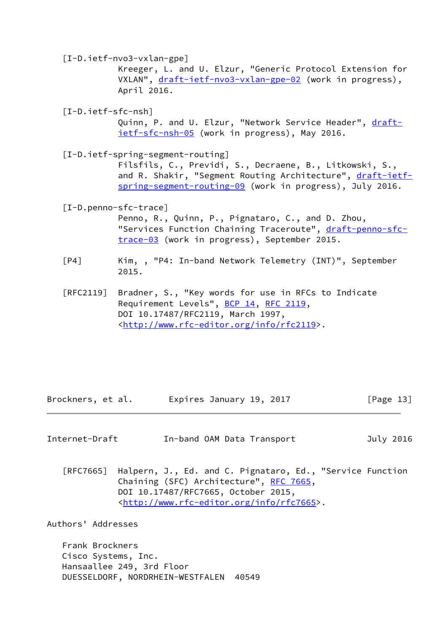<span id="page-14-2"></span>[I-D.ietf-nvo3-vxlan-gpe]

 Kreeger, L. and U. Elzur, "Generic Protocol Extension for VXLAN", [draft-ietf-nvo3-vxlan-gpe-02](https://datatracker.ietf.org/doc/pdf/draft-ietf-nvo3-vxlan-gpe-02) (work in progress), April 2016.

<span id="page-14-3"></span>[I-D.ietf-sfc-nsh]

Quinn, P. and U. Elzur, "Network Service Header", [draft](https://datatracker.ietf.org/doc/pdf/draft-ietf-sfc-nsh-05) [ietf-sfc-nsh-05](https://datatracker.ietf.org/doc/pdf/draft-ietf-sfc-nsh-05) (work in progress), May 2016.

<span id="page-14-1"></span>[I-D.ietf-spring-segment-routing]

 Filsfils, C., Previdi, S., Decraene, B., Litkowski, S., and R. Shakir, "Segment Routing Architecture", [draft-ietf](https://datatracker.ietf.org/doc/pdf/draft-ietf-spring-segment-routing-09) [spring-segment-routing-09](https://datatracker.ietf.org/doc/pdf/draft-ietf-spring-segment-routing-09) (work in progress), July 2016.

<span id="page-14-4"></span>[I-D.penno-sfc-trace]

 Penno, R., Quinn, P., Pignataro, C., and D. Zhou, "Services Function Chaining Traceroute", [draft-penno-sfc](https://datatracker.ietf.org/doc/pdf/draft-penno-sfc-trace-03) [trace-03](https://datatracker.ietf.org/doc/pdf/draft-penno-sfc-trace-03) (work in progress), September 2015.

- [P4] Kim, , "P4: In-band Network Telemetry (INT)", September 2015.
- [RFC2119] Bradner, S., "Key words for use in RFCs to Indicate Requirement Levels", [BCP 14](https://datatracker.ietf.org/doc/pdf/bcp14), [RFC 2119](https://datatracker.ietf.org/doc/pdf/rfc2119), DOI 10.17487/RFC2119, March 1997, <<http://www.rfc-editor.org/info/rfc2119>>.

Brockners, et al. Expires January 19, 2017 [Page 13]

<span id="page-14-0"></span>Internet-Draft In-band OAM Data Transport July 2016

 [RFC7665] Halpern, J., Ed. and C. Pignataro, Ed., "Service Function Chaining (SFC) Architecture", [RFC 7665](https://datatracker.ietf.org/doc/pdf/rfc7665), DOI 10.17487/RFC7665, October 2015, <<http://www.rfc-editor.org/info/rfc7665>>.

Authors' Addresses

 Frank Brockners Cisco Systems, Inc. Hansaallee 249, 3rd Floor DUESSELDORF, NORDRHEIN-WESTFALEN 40549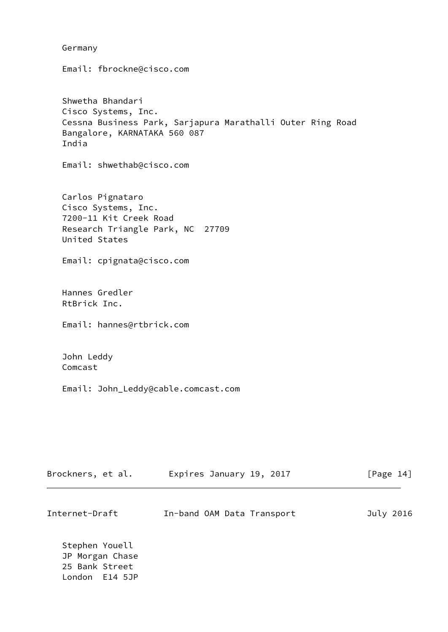Germany

 Shwetha Bhandari Cisco Systems, Inc. Cessna Business Park, Sarjapura Marathalli Outer Ring Road Bangalore, KARNATAKA 560 087 India

Email: shwethab@cisco.com

Email: fbrockne@cisco.com

 Carlos Pignataro Cisco Systems, Inc. 7200-11 Kit Creek Road Research Triangle Park, NC 27709 United States

Email: cpignata@cisco.com

 Hannes Gredler RtBrick Inc.

Email: hannes@rtbrick.com

 John Leddy Comcast

Email: John\_Leddy@cable.comcast.com

| Brockners, et al.                                                     | Expires January 19, 2017   | [Page $14$ ] |
|-----------------------------------------------------------------------|----------------------------|--------------|
| Internet-Draft                                                        | In-band OAM Data Transport | July 2016    |
| Stephen Youell<br>JP Morgan Chase<br>25 Bank Street<br>London E14 5JP |                            |              |